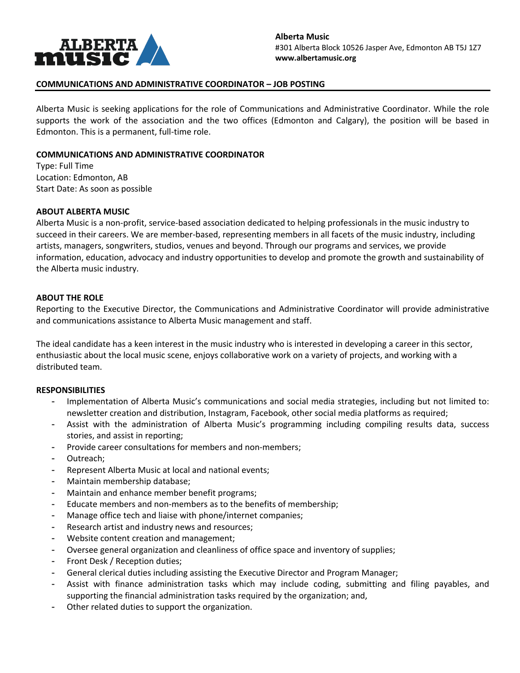

# **COMMUNICATIONS AND ADMINISTRATIVE COORDINATOR – JOB POSTING**

Alberta Music is seeking applications for the role of Communications and Administrative Coordinator. While the role supports the work of the association and the two offices (Edmonton and Calgary), the position will be based in Edmonton. This is a permanent, full-time role.

## **COMMUNICATIONS AND ADMINISTRATIVE COORDINATOR**

Type: Full Time Location: Edmonton, AB Start Date: As soon as possible

### **ABOUT ALBERTA MUSIC**

Alberta Music is a non-profit, service-based association dedicated to helping professionals in the music industry to succeed in their careers. We are member-based, representing members in all facets of the music industry, including artists, managers, songwriters, studios, venues and beyond. Through our programs and services, we provide information, education, advocacy and industry opportunities to develop and promote the growth and sustainability of the Alberta music industry.

### **ABOUT THE ROLE**

Reporting to the Executive Director, the Communications and Administrative Coordinator will provide administrative and communications assistance to Alberta Music management and staff.

The ideal candidate has a keen interest in the music industry who is interested in developing a career in this sector, enthusiastic about the local music scene, enjoys collaborative work on a variety of projects, and working with a distributed team.

### **RESPONSIBILITIES**

- Implementation of Alberta Music's communications and social media strategies, including but not limited to: newsletter creation and distribution, Instagram, Facebook, other social media platforms as required;
- Assist with the administration of Alberta Music's programming including compiling results data, success stories, and assist in reporting;
- Provide career consultations for members and non-members;
- Outreach;
- Represent Alberta Music at local and national events;
- Maintain membership database;
- Maintain and enhance member benefit programs;
- Educate members and non-members as to the benefits of membership;
- Manage office tech and liaise with phone/internet companies;
- Research artist and industry news and resources;
- Website content creation and management;
- Oversee general organization and cleanliness of office space and inventory of supplies;
- Front Desk / Reception duties;
- General clerical duties including assisting the Executive Director and Program Manager;
- Assist with finance administration tasks which may include coding, submitting and filing payables, and supporting the financial administration tasks required by the organization; and,
- Other related duties to support the organization.